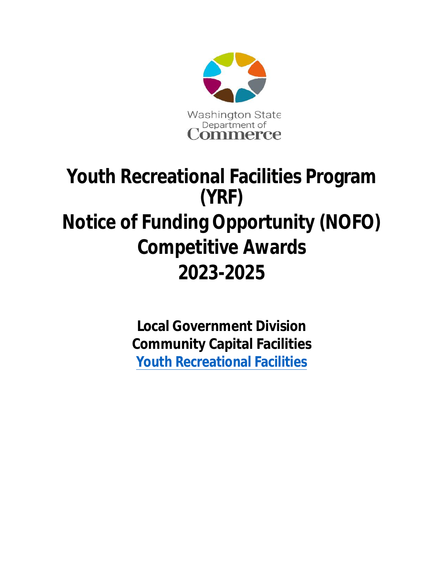

# **Youth Recreational Facilities Program (YRF) Notice of Funding Opportunity (NOFO) Competitive Awards 2023-2025**

**Local Government Division Community Capital Facilities [Youth Recreational Facilities](https://www.commerce.wa.gov/building-infrastructure/capital-facilities/youth-recreational-facilities/)**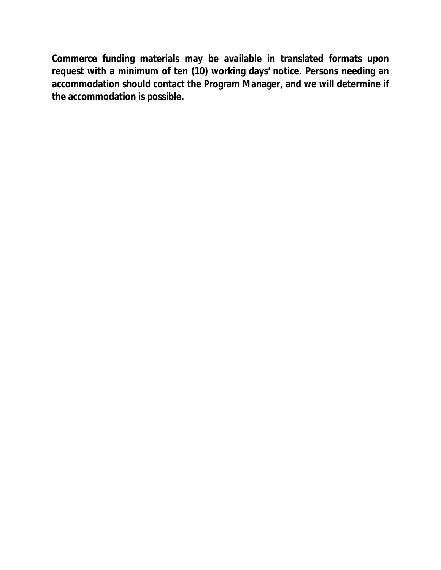**Commerce funding materials may be available in translated formats upon request with a minimum of ten (10) working days' notice. Persons needing an accommodation should contact the Program Manager, and we will determine if the accommodation is possible.**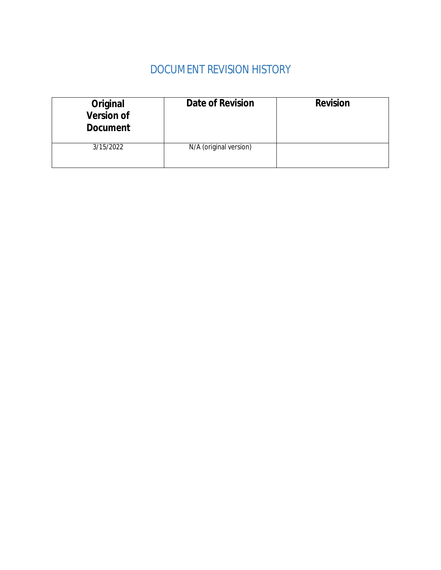# DOCUMENT REVISION HISTORY

| <b>Original</b><br><b>Version of</b><br><b>Document</b> | <b>Date of Revision</b> | <b>Revision</b> |
|---------------------------------------------------------|-------------------------|-----------------|
| 3/15/2022                                               | N/A (original version)  |                 |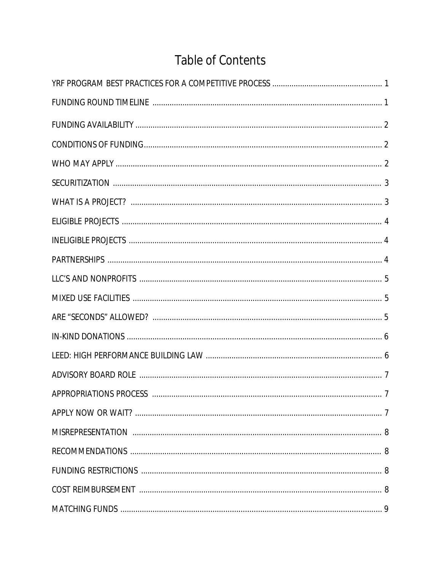# Table of Contents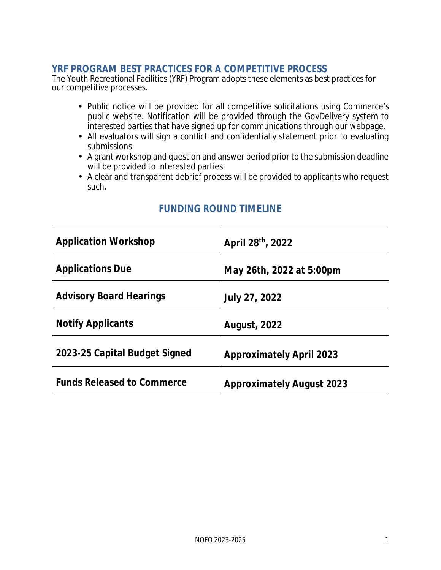#### **YRF PROGRAM BEST PRACTICES FOR A COMPETITIVE PROCESS**

The Youth Recreational Facilities (YRF) Program adopts these elements as best practices for our competitive processes.

- Public notice will be provided for all competitive solicitations using Commerce's public website. Notification will be provided through the GovDelivery system to interested parties that have signed up for communications through our webpage.
- All evaluators will sign a conflict and confidentially statement prior to evaluating submissions.
- A grant workshop and question and answer period prior to the submission deadline will be provided to interested parties.
- A clear and transparent debrief process will be provided to applicants who request such.

| <b>Application Workshop</b>       | April 28th, 2022                 |
|-----------------------------------|----------------------------------|
| <b>Applications Due</b>           | May 26th, 2022 at 5:00pm         |
| <b>Advisory Board Hearings</b>    | <b>July 27, 2022</b>             |
| <b>Notify Applicants</b>          | <b>August, 2022</b>              |
| 2023-25 Capital Budget Signed     | <b>Approximately April 2023</b>  |
| <b>Funds Released to Commerce</b> | <b>Approximately August 2023</b> |

# **FUNDING ROUND TIMELINE**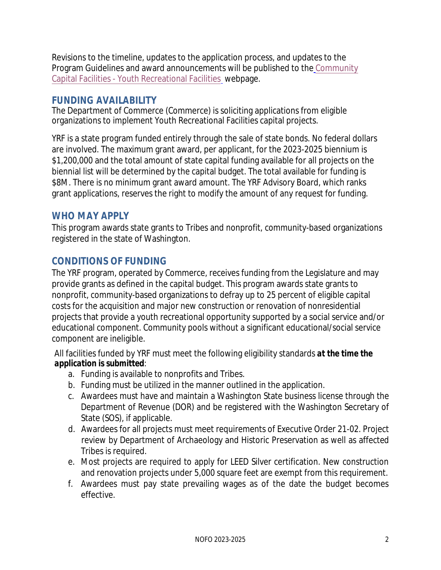Revisions to the timeline, updates to the application process, and updates to the Program Guidelines and award announcements will be published to the [Community](https://www.commerce.wa.gov/building-infrastructure/capital-facilities/youth-recreational-facilities/) [Capital Facilities - Youth Recreational Facilities](https://www.commerce.wa.gov/building-infrastructure/capital-facilities/youth-recreational-facilities/)webpage.

# **FUNDING AVAILABILITY**

The Department of Commerce (Commerce) is soliciting applications from eligible organizations to implement Youth Recreational Facilities capital projects.

YRF is a state program funded entirely through the sale of state bonds. No federal dollars are involved. The maximum grant award, per applicant, for the 2023-2025 biennium is \$1,200,000 and the total amount of state capital funding available for all projects on the biennial list will be determined by the capital budget. The total available for funding is \$8M. There is no minimum grant award amount. The YRF Advisory Board, which ranks grant applications, reserves the right to modify the amount of any request for funding.

# **WHO MAY APPLY**

This program awards state grants to Tribes and nonprofit, community-based organizations registered in the state of Washington.

# **CONDITIONS OF FUNDING**

The YRF program, operated by Commerce, receives funding from the Legislature and may provide grants as defined in the capital budget. This program awards state grants to nonprofit, community-based organizations to defray up to 25 percent of eligible capital costs for the acquisition and major new construction or renovation of nonresidential projects that provide a youth recreational opportunity supported by a social service and/or educational component. Community pools without a significant educational/social service component are ineligible.

All facilities funded by YRF must meet the following eligibility standards *at the time the application is submitted*:

- a. Funding is available to nonprofits and Tribes.
- b. Funding must be utilized in the manner outlined in the application.
- c. Awardees must have and maintain a Washington State business license through the Department of Revenue (DOR) and be registered with the Washington Secretary of State (SOS), if applicable.
- d. Awardees for all projects must meet requirements of Executive Order 21-02. Project review by Department of Archaeology and Historic Preservation as well as affected Tribes is required.
- e. Most projects are required to apply for LEED Silver certification. New construction and renovation projects under 5,000 square feet are exempt from this requirement.
- f. Awardees must pay state prevailing wages as of the date the budget becomes effective.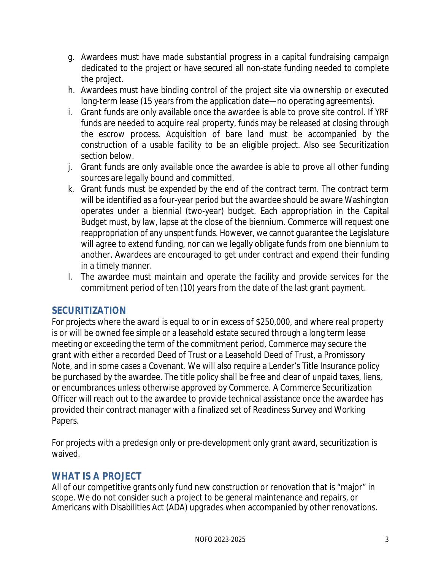- g. Awardees must have made substantial progress in a capital fundraising campaign dedicated to the project or have secured all non-state funding needed to complete the project.
- h. Awardees must have binding control of the project site via ownership or executed long-term lease (15 years from the application date—no operating agreements).
- i. Grant funds are only available once the awardee is able to prove site control. If YRF funds are needed to acquire real property, funds may be released at closing through the escrow process. Acquisition of bare land must be accompanied by the construction of a usable facility to be an eligible project. Also see Securitization section below.
- j. Grant funds are only available once the awardee is able to prove all other funding sources are legally bound and committed.
- k. Grant funds must be expended by the end of the contract term. The contract term will be identified as a four-year period but the awardee should be aware Washington operates under a biennial (two-year) budget. Each appropriation in the Capital Budget must, by law, lapse at the close of the biennium. Commerce will request one reappropriation of any unspent funds. However, we cannot guarantee the Legislature will agree to extend funding, nor can we legally obligate funds from one biennium to another. Awardees are encouraged to get under contract and expend their funding in a timely manner.
- l. The awardee must maintain and operate the facility and provide services for the commitment period of ten (10) years from the date of the last grant payment.

#### **SECURITIZATION**

For projects where the award is equal to or in excess of \$250,000, and where real property is or will be owned fee simple or a leasehold estate secured through a long term lease meeting or exceeding the term of the commitment period, Commerce may secure the grant with either a recorded Deed of Trust or a Leasehold Deed of Trust, a Promissory Note, and in some cases a Covenant. We will also require a Lender's Title Insurance policy be purchased by the awardee. The title policy shall be free and clear of unpaid taxes, liens, or encumbrances unless otherwise approved by Commerce. A Commerce Securitization Officer will reach out to the awardee to provide technical assistance once the awardee has provided their contract manager with a finalized set of Readiness Survey and Working Papers.

For projects with a predesign only or pre-development only grant award, securitization is waived.

# **WHAT IS A PROJECT**

All of our competitive grants only fund new construction or renovation that is "major" in scope. We do not consider such a project to be general maintenance and repairs, or Americans with Disabilities Act (ADA) upgrades when accompanied by other renovations.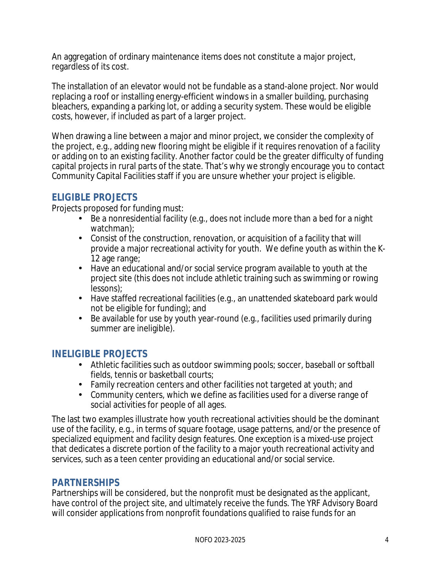An aggregation of ordinary maintenance items does not constitute a major project, regardless of its cost.

The installation of an elevator would not be fundable as a stand-alone project. Nor would replacing a roof or installing energy-efficient windows in a smaller building, purchasing bleachers, expanding a parking lot, or adding a security system. These would be eligible costs, however, if included as part of a larger project.

When drawing a line between a major and minor project, we consider the complexity of the project, e.g., adding new flooring might be eligible if it requires renovation of a facility or adding on to an existing facility. Another factor could be the greater difficulty of funding capital projects in rural parts of the state. That's why we strongly encourage you to contact Community Capital Facilities staff if you are unsure whether your project is eligible.

#### **ELIGIBLE PROJECTS**

Projects proposed for funding must:

- Be a nonresidential facility (e.g., does not include more than a bed for a night watchman);
- Consist of the construction, renovation, or acquisition of a facility that will provide a major recreational activity for youth. We define youth as within the K-12 age range;
- Have an educational and/or social service program available to youth at the project site (this does not include athletic training such as swimming or rowing lessons);
- Have staffed recreational facilities (e.g., an unattended skateboard park would not be eligible for funding); and
- Be available for use by youth year-round (e.g., facilities used primarily during summer are ineligible).

#### **INELIGIBLE PROJECTS**

- Athletic facilities such as outdoor swimming pools; soccer, baseball or softball fields, tennis or basketball courts;
- Family recreation centers and other facilities not targeted at youth; and
- Community centers, which we define as facilities used for a diverse range of social activities for people of all ages.

The last two examples illustrate how youth recreational activities should be the dominant use of the facility, e.g., in terms of square footage, usage patterns, and/or the presence of specialized equipment and facility design features. One exception is a mixed-use project that dedicates a discrete portion of the facility to a major youth recreational activity and services, such as a teen center providing an educational and/or social service.

#### **PARTNERSHIPS**

Partnerships will be considered, but the nonprofit must be designated as the applicant, have control of the project site, and ultimately receive the funds. The YRF Advisory Board will consider applications from nonprofit foundations qualified to raise funds for an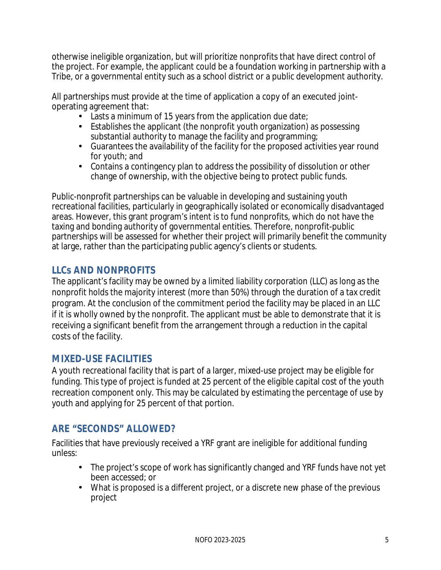otherwise ineligible organization, but will prioritize nonprofits that have direct control of the project. For example, the applicant could be a foundation working in partnership with a Tribe, or a governmental entity such as a school district or a public development authority.

All partnerships must provide at the time of application a copy of an executed jointoperating agreement that:

- Lasts a minimum of 15 years from the application due date;
- Establishes the applicant (the nonprofit youth organization) as possessing substantial authority to manage the facility and programming;
- Guarantees the availability of the facility for the proposed activities year round for youth; and
- Contains a contingency plan to address the possibility of dissolution or other change of ownership, with the objective being to protect public funds.

Public-nonprofit partnerships can be valuable in developing and sustaining youth recreational facilities, particularly in geographically isolated or economically disadvantaged areas. However, this grant program's intent is to fund nonprofits, which do not have the taxing and bonding authority of governmental entities. Therefore, nonprofit-public partnerships will be assessed for whether their project will primarily benefit the community at large, rather than the participating public agency's clients or students.

# **LLCs AND NONPROFITS**

The applicant's facility may be owned by a limited liability corporation (LLC) as long as the nonprofit holds the majority interest (more than 50%) through the duration of a tax credit program. At the conclusion of the commitment period the facility may be placed in an LLC if it is wholly owned by the nonprofit. The applicant must be able to demonstrate that it is receiving a significant benefit from the arrangement through a reduction in the capital costs of the facility.

# **MIXED-USE FACILITIES**

A youth recreational facility that is part of a larger, mixed-use project may be eligible for funding. This type of project is funded at 25 percent of the eligible capital cost of the youth recreation component only. This may be calculated by estimating the percentage of use by youth and applying for 25 percent of that portion.

# **ARE "SECONDS" ALLOWED?**

Facilities that have previously received a YRF grant are ineligible for additional funding unless:

- The project's scope of work has significantly changed and YRF funds have not yet been accessed; or
- What is proposed is a different project, or a discrete new phase of the previous project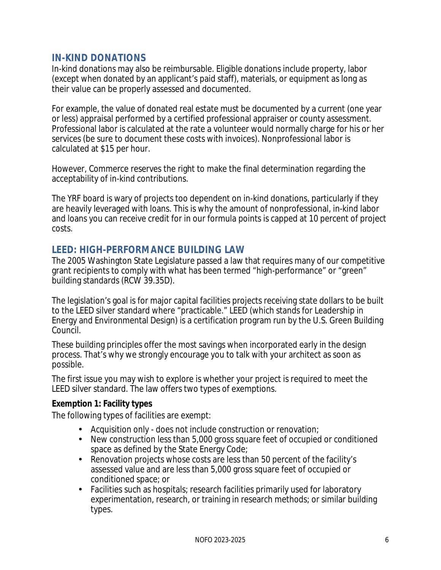#### **IN-KIND DONATIONS**

In-kind donations may also be reimbursable. Eligible donations include property, labor (except when donated by an applicant's paid staff), materials, or equipment as long as their value can be properly assessed and documented.

For example, the value of donated real estate must be documented by a current (one year or less) appraisal performed by a certified professional appraiser or county assessment. Professional labor is calculated at the rate a volunteer would normally charge for his or her services (be sure to document these costs with invoices). Nonprofessional labor is calculated at \$15 per hour.

However, Commerce reserves the right to make the final determination regarding the acceptability of in-kind contributions.

The YRF board is wary of projects too dependent on in-kind donations, particularly if they are heavily leveraged with loans. This is why the amount of nonprofessional, in-kind labor and loans you can receive credit for in our formula points is capped at 10 percent of project costs.

# **LEED: HIGH-PERFORMANCE BUILDING LAW**

The 2005 Washington State Legislature passed a law that requires many of our competitive grant recipients to comply with what has been termed "high-performance" or "green" building standards (RCW 39.35D).

The legislation's goal is for major capital facilities projects receiving state dollars to be built to the LEED silver standard where "practicable." LEED (which stands for Leadership in Energy and Environmental Design) is a certification program run by the U.S. Green Building Council.

These building principles offer the most savings when incorporated early in the design process. That's why we strongly encourage you to talk with your architect as soon as possible.

The first issue you may wish to explore is whether your project is required to meet the LEED silver standard. The law offers two types of exemptions.

#### **Exemption 1: Facility types**

The following types of facilities are exempt:

- Acquisition only does not include construction or renovation;
- New construction less than 5,000 gross square feet of occupied or conditioned space as defined by the State Energy Code;
- Renovation projects whose costs are less than 50 percent of the facility's assessed value and are less than 5,000 gross square feet of occupied or conditioned space; or
- Facilities such as hospitals; research facilities primarily used for laboratory experimentation, research, or training in research methods; or similar building types.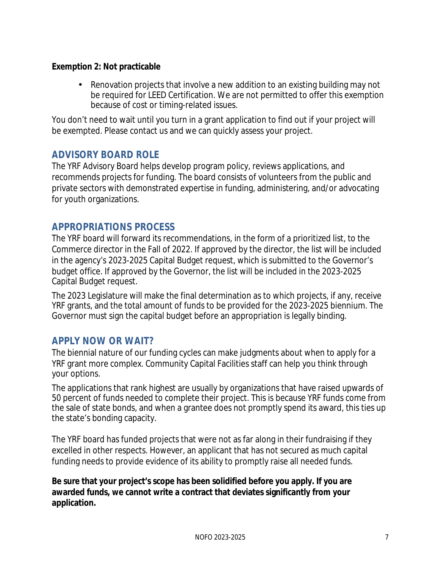#### **Exemption 2: Not practicable**

• Renovation projects that involve a new addition to an existing building may not be required for LEED Certification. We are not permitted to offer this exemption because of cost or timing-related issues.

You don't need to wait until you turn in a grant application to find out if your project will be exempted. Please contact us and we can quickly assess your project.

#### **ADVISORY BOARD ROLE**

The YRF Advisory Board helps develop program policy, reviews applications, and recommends projects for funding. The board consists of volunteers from the public and private sectors with demonstrated expertise in funding, administering, and/or advocating for youth organizations.

#### **APPROPRIATIONS PROCESS**

The YRF board will forward its recommendations, in the form of a prioritized list, to the Commerce director in the Fall of 2022. If approved by the director, the list will be included in the agency's 2023-2025 Capital Budget request, which is submitted to the Governor's budget office. If approved by the Governor, the list will be included in the 2023-2025 Capital Budget request.

The 2023 Legislature will make the final determination as to which projects, if any, receive YRF grants, and the total amount of funds to be provided for the 2023-2025 biennium. The Governor must sign the capital budget before an appropriation is legally binding.

# **APPLY NOW OR WAIT?**

The biennial nature of our funding cycles can make judgments about when to apply for a YRF grant more complex. Community Capital Facilities staff can help you think through your options.

The applications that rank highest are usually by organizations that have raised upwards of 50 percent of funds needed to complete their project. This is because YRF funds come from the sale of state bonds, and when a grantee does not promptly spend its award, this ties up the state's bonding capacity.

The YRF board has funded projects that were not as far along in their fundraising if they excelled in other respects. However, an applicant that has not secured as much capital funding needs to provide evidence of its ability to promptly raise all needed funds.

**Be sure that your project's scope has been solidified before you apply. If you are awarded funds, we cannot write a contract that deviates significantly from your application.**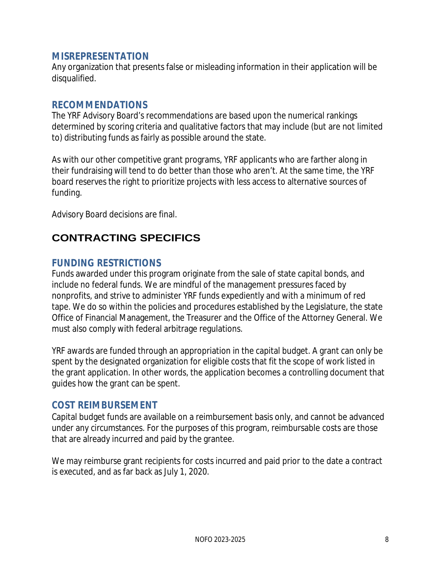#### **MISREPRESENTATION**

Any organization that presents false or misleading information in their application will be disqualified.

#### **RECOMMENDATIONS**

The YRF Advisory Board's recommendations are based upon the numerical rankings determined by scoring criteria and qualitative factors that may include (but are not limited to) distributing funds as fairly as possible around the state.

As with our other competitive grant programs, YRF applicants who are farther along in their fundraising will tend to do better than those who aren't. At the same time, the YRF board reserves the right to prioritize projects with less access to alternative sources of funding.

Advisory Board decisions are final.

# **CONTRACTING SPECIFICS**

#### **FUNDING RESTRICTIONS**

Funds awarded under this program originate from the sale of state capital bonds, and include no federal funds. We are mindful of the management pressures faced by nonprofits, and strive to administer YRF funds expediently and with a minimum of red tape. We do so within the policies and procedures established by the Legislature, the state Office of Financial Management, the Treasurer and the Office of the Attorney General. We must also comply with federal arbitrage regulations.

YRF awards are funded through an appropriation in the capital budget. A grant can only be spent by the designated organization for eligible costs that fit the scope of work listed in the grant application. In other words, the application becomes a controlling document that guides how the grant can be spent.

#### **COST REIMBURSEMENT**

Capital budget funds are available on a reimbursement basis only, and cannot be advanced under any circumstances. For the purposes of this program, reimbursable costs are those that are already incurred and paid by the grantee.

We may reimburse grant recipients for costs incurred and paid prior to the date a contract is executed, and as far back as July 1, 2020.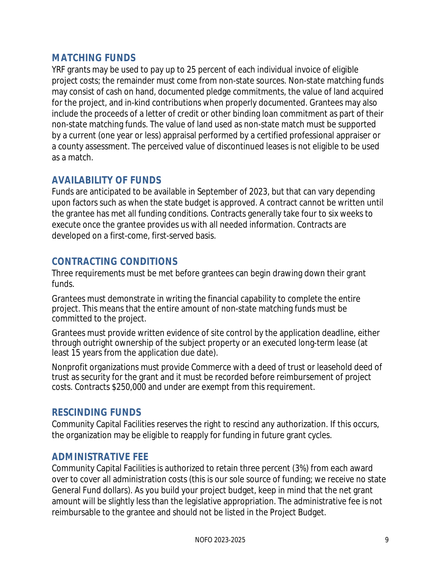#### **MATCHING FUNDS**

YRF grants may be used to pay up to 25 percent of each individual invoice of eligible project costs; the remainder must come from non-state sources. Non-state matching funds may consist of cash on hand, documented pledge commitments, the value of land acquired for the project, and in-kind contributions when properly documented. Grantees may also include the proceeds of a letter of credit or other binding loan commitment as part of their non-state matching funds. The value of land used as non-state match must be supported by a current (one year or less) appraisal performed by a certified professional appraiser or a county assessment. The perceived value of discontinued leases is not eligible to be used as a match.

#### **AVAILABILITY OF FUNDS**

Funds are anticipated to be available in September of 2023, but that can vary depending upon factors such as when the state budget is approved. A contract cannot be written until the grantee has met all funding conditions. Contracts generally take four to six weeks to execute once the grantee provides us with all needed information. Contracts are developed on a first-come, first-served basis.

#### **CONTRACTING CONDITIONS**

Three requirements must be met before grantees can begin drawing down their grant funds.

Grantees must demonstrate in writing the financial capability to complete the entire project. This means that the entire amount of non-state matching funds must be committed to the project.

Grantees must provide written evidence of site control by the application deadline, either through outright ownership of the subject property or an executed long-term lease (at least 15 years from the application due date).

Nonprofit organizations must provide Commerce with a deed of trust or leasehold deed of trust as security for the grant and it must be recorded before reimbursement of project costs. Contracts \$250,000 and under are exempt from this requirement.

#### **RESCINDING FUNDS**

Community Capital Facilities reserves the right to rescind any authorization. If this occurs, the organization may be eligible to reapply for funding in future grant cycles.

#### **ADMINISTRATIVE FEE**

Community Capital Facilities is authorized to retain three percent (3%) from each award over to cover all administration costs (this is our sole source of funding; we receive no state General Fund dollars). As you build your project budget, keep in mind that the net grant amount will be slightly less than the legislative appropriation. The administrative fee is not reimbursable to the grantee and should not be listed in the Project Budget.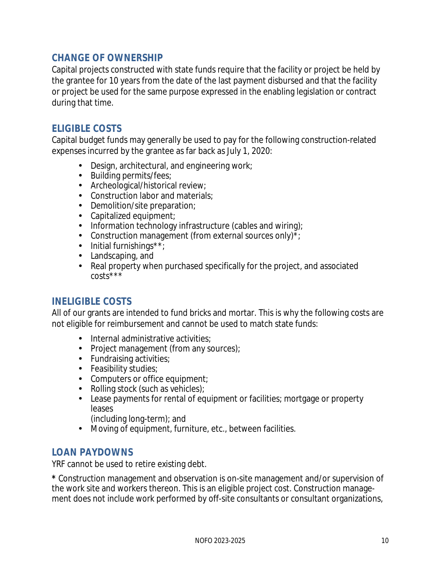#### **CHANGE OF OWNERSHIP**

Capital projects constructed with state funds require that the facility or project be held by the grantee for 10 years from the date of the last payment disbursed and that the facility or project be used for the same purpose expressed in the enabling legislation or contract during that time.

#### **ELIGIBLE COSTS**

Capital budget funds may generally be used to pay for the following construction-related expenses incurred by the grantee as far back as July 1, 2020:

- Design, architectural, and engineering work;
- Building permits/fees;
- Archeological/historical review;
- Construction labor and materials;
- Demolition/site preparation;
- Capitalized equipment;
- Information technology infrastructure (cables and wiring);
- Construction management (from external sources only)\*;
- Initial furnishings\*\*;
- Landscaping, and
- Real property when purchased specifically for the project, and associated costs\*\*\*

#### **INELIGIBLE COSTS**

All of our grants are intended to fund bricks and mortar. This is why the following costs are not eligible for reimbursement and cannot be used to match state funds:

- Internal administrative activities:
- Project management (from any sources);
- Fundraising activities;
- Feasibility studies;
- Computers or office equipment;
- Rolling stock (such as vehicles);
- Lease payments for rental of equipment or facilities; mortgage or property leases
	- (including long-term); and
- Moving of equipment, furniture, etc., between facilities.

# **LOAN PAYDOWNS**

YRF cannot be used to retire existing debt.

**\*** Construction management and observation is on-site management and/or supervision of the work site and workers thereon. This is an eligible project cost. Construction management does not include work performed by off-site consultants or consultant organizations,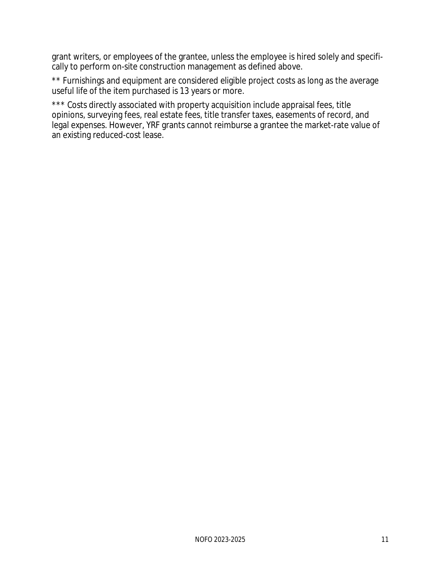grant writers, or employees of the grantee, unless the employee is hired solely and specifically to perform on-site construction management as defined above.

\*\* Furnishings and equipment are considered eligible project costs as long as the average useful life of the item purchased is 13 years or more.

\*\*\* Costs directly associated with property acquisition include appraisal fees, title opinions, surveying fees, real estate fees, title transfer taxes, easements of record, and legal expenses. However, YRF grants cannot reimburse a grantee the market-rate value of an existing reduced-cost lease.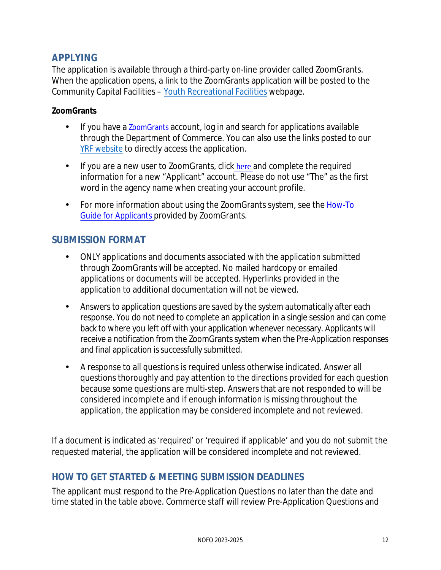# **APPLYING**

The application is available through a third-party on-line provider calle[d ZoomGrants.](https://www.zoomgrants.com/) When the application opens, a link to the ZoomGrants application will be posted to the Community Capital Facilities – [Youth Recreational Facilities](https://www.commerce.wa.gov/building-infrastructure/capital-facilities/youth-recreational-facilities/) webpage.

#### **ZoomGrants**

- If you h[a](https://www.zoomgrants.com/)ve a *ZoomGrants* account, log in and search for applications available through the Department of Commerce. You can also use the links posted to our [YRF website](https://www.commerce.wa.gov/building-infrastructure/capital-facilities/youth-recreational-facilities/) [to directly](https://www.commerce.wa.gov/building-infrastructure/capital-facilities/youth-recreational-facilities/) access the application.
- If you are a new user to ZoomGrants, click [here](https://www.zoomgrants.com/get-started/) and complete the required information for a new "Applicant" account. Please do not use "The" as the first word in the agency name when creating your account profile.
- For more information about using the ZoomGrants system, see the [How-To](http://zoomgrants.com/welcome/applicantslideshow.pdf) [Guide for Applicants](http://zoomgrants.com/welcome/applicantslideshow.pdf) [p](http://zoomgrants.com/welcome/applicantslideshow.pdf)rovided by ZoomGrants.

#### **SUBMISSION FORMAT**

- ONLY applications and documents associated with the application submitted through ZoomGrants will be accepted. No mailed hardcopy or emailed applications or documents will be accepted. Hyperlinks provided in the application to additional documentation will not be viewed.
- Answers to application questions are saved by the system automatically after each response. You do not need to complete an application in a single session and can come back to where you left off with your application whenever necessary. Applicants will receive a notification from the ZoomGrants system when the Pre-Application responses and final application is successfully submitted.
- A response to all questions is required unless otherwise indicated. Answer all questions thoroughly and pay attention to the directions provided for each question because some questions are multi-step. Answers that are not responded to will be considered incomplete and if enough information is missing throughout the application, the application may be considered incomplete and not reviewed.

If a document is indicated as 'required' or 'required if applicable' and you do not submit the requested material, the application will be considered incomplete and not reviewed.

#### **HOW TO GET STARTED & MEETING SUBMISSION DEADLINES**

The applicant must respond to the Pre-Application Questions no later than the date and time stated in the table above. Commerce staff will review Pre-Application Questions and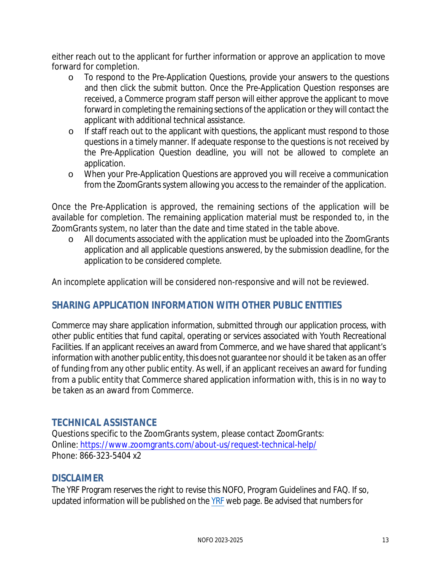either reach out to the applicant for further information or approve an application to move forward for completion.

- o To respond to the Pre-Application Questions, provide your answers to the questions and then click the submit button. Once the Pre-Application Question responses are received, a Commerce program staff person will either approve the applicant to move forward in completing the remaining sections of the application or they will contact the applicant with additional technical assistance.
- $\circ$  If staff reach out to the applicant with questions, the applicant must respond to those questions in a timely manner. If adequate response to the questions is not received by the Pre-Application Question deadline, you will not be allowed to complete an application.
- o When your Pre-Application Questions are approved you will receive a communication from the ZoomGrants system allowing you access to the remainder of the application.

Once the Pre-Application is approved, the remaining sections of the application will be available for completion. The remaining application material must be responded to, in the ZoomGrants system, no later than the date and time stated in the table above.

o All documents associated with the application must be uploaded into the ZoomGrants application and all applicable questions answered, by the submission deadline, for the application to be considered complete.

An incomplete application will be considered non-responsive and will not be reviewed.

# **SHARING APPLICATION INFORMATION WITH OTHER PUBLIC ENTITIES**

Commerce may share application information, submitted through our application process, with other public entities that fund capital, operating or services associated with Youth Recreational Facilities. If an applicant receives an award from Commerce, and we have shared that applicant's information with another public entity, this does not guarantee nor should it be taken as an offer of funding from any other public entity. As well, if an applicant receives an award for funding from a public entity that Commerce shared application information with, this is in no way to be taken as an award from Commerce.

# **TECHNICAL ASSISTANCE**

Questions specific to the ZoomGrants system, please contact ZoomGrants: Online[: https://www.zoomgrants.com/about-us/request-technical-help/](https://www.zoomgrants.com/about-us/request-technical-help/) Phone: 866-323-5404 x2

#### **DISCLAIMER**

The YRF Program reserves the right to revise this NOFO, Program Guidelines and FAQ. If so, updated information will be published on the [YRF](https://www.commerce.wa.gov/building-infrastructure/capital-facilities/youth-recreational-facilities/) web page. Be advised that numbers for